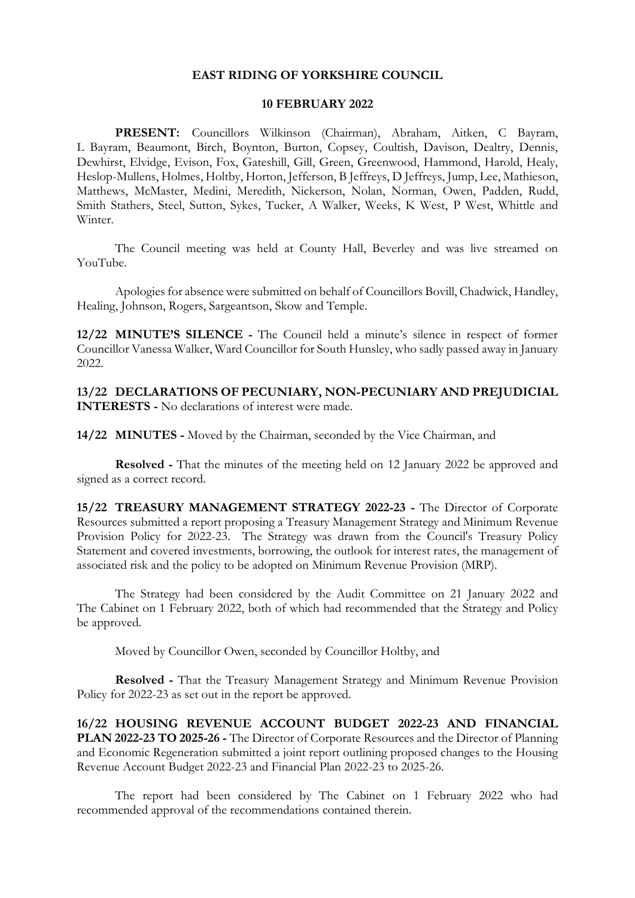## **EAST RIDING OF YORKSHIRE COUNCIL**

## **10 FEBRUARY 2022**

**PRESENT:** Councillors Wilkinson (Chairman), Abraham, Aitken, C Bayram, L Bayram, Beaumont, Birch, Boynton, Burton, Copsey, Coultish, Davison, Dealtry, Dennis, Dewhirst, Elvidge, Evison, Fox, Gateshill, Gill, Green, Greenwood, Hammond, Harold, Healy, Heslop-Mullens, Holmes, Holtby, Horton, Jefferson, B Jeffreys, D Jeffreys, Jump, Lee, Mathieson, Matthews, McMaster, Medini, Meredith, Nickerson, Nolan, Norman, Owen, Padden, Rudd, Smith Stathers, Steel, Sutton, Sykes, Tucker, A Walker, Weeks, K West, P West, Whittle and Winter.

The Council meeting was held at County Hall, Beverley and was live streamed on YouTube.

Apologies for absence were submitted on behalf of Councillors Bovill, Chadwick, Handley, Healing, Johnson, Rogers, Sargeantson, Skow and Temple.

**12/22 MINUTE'S SILENCE -** The Council held a minute's silence in respect of former Councillor Vanessa Walker, Ward Councillor for South Hunsley, who sadly passed away in January 2022.

**13/22 DECLARATIONS OF PECUNIARY, NON-PECUNIARY AND PREJUDICIAL INTERESTS -** No declarations of interest were made.

**14/22 MINUTES -** Moved by the Chairman, seconded by the Vice Chairman, and

**Resolved -** That the minutes of the meeting held on 12 January 2022 be approved and signed as a correct record.

**15/22 TREASURY MANAGEMENT STRATEGY 2022-23 -** The Director of Corporate Resources submitted a report proposing a Treasury Management Strategy and Minimum Revenue Provision Policy for 2022-23. The Strategy was drawn from the Council's Treasury Policy Statement and covered investments, borrowing, the outlook for interest rates, the management of associated risk and the policy to be adopted on Minimum Revenue Provision (MRP).

The Strategy had been considered by the Audit Committee on 21 January 2022 and The Cabinet on 1 February 2022, both of which had recommended that the Strategy and Policy be approved.

Moved by Councillor Owen, seconded by Councillor Holtby, and

**Resolved -** That the Treasury Management Strategy and Minimum Revenue Provision Policy for 2022-23 as set out in the report be approved.

**16/22 HOUSING REVENUE ACCOUNT BUDGET 2022-23 AND FINANCIAL PLAN 2022-23 TO 2025-26 -** The Director of Corporate Resources and the Director of Planning and Economic Regeneration submitted a joint report outlining proposed changes to the Housing Revenue Account Budget 2022-23 and Financial Plan 2022-23 to 2025-26.

The report had been considered by The Cabinet on 1 February 2022 who had recommended approval of the recommendations contained therein.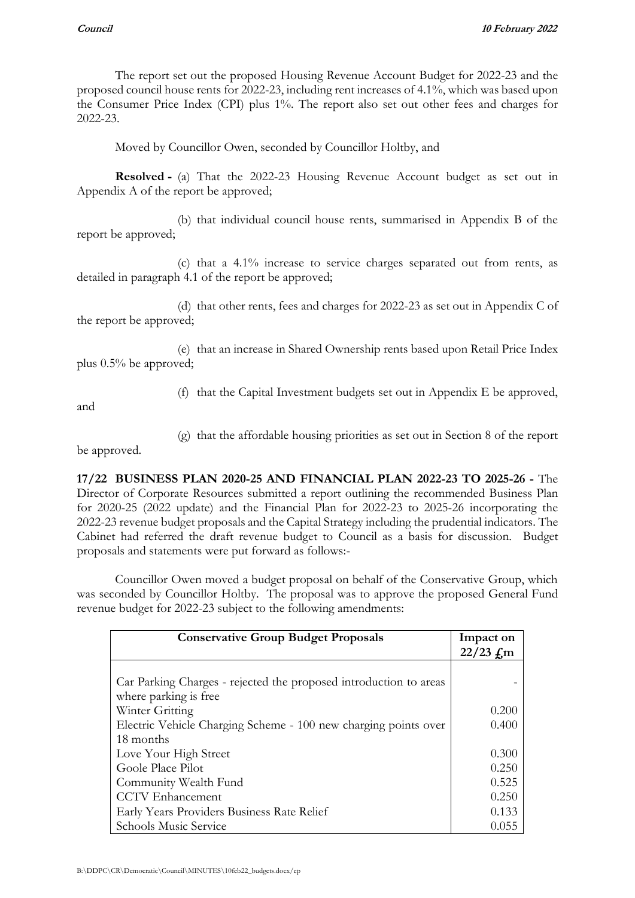The report set out the proposed Housing Revenue Account Budget for 2022-23 and the proposed council house rents for 2022-23, including rent increases of 4.1%, which was based upon the Consumer Price Index (CPI) plus 1%. The report also set out other fees and charges for 2022-23.

Moved by Councillor Owen, seconded by Councillor Holtby, and

**Resolved -** (a) That the 2022-23 Housing Revenue Account budget as set out in Appendix A of the report be approved;

(b) that individual council house rents, summarised in Appendix B of the report be approved;

(c) that a 4.1% increase to service charges separated out from rents, as detailed in paragraph 4.1 of the report be approved;

(d) that other rents, fees and charges for 2022-23 as set out in Appendix C of the report be approved;

(e) that an increase in Shared Ownership rents based upon Retail Price Index plus 0.5% be approved;

and

(f) that the Capital Investment budgets set out in Appendix E be approved,

(g) that the affordable housing priorities as set out in Section 8 of the report

be approved.

**17/22 BUSINESS PLAN 2020-25 AND FINANCIAL PLAN 2022-23 TO 2025-26 -** The Director of Corporate Resources submitted a report outlining the recommended Business Plan for 2020-25 (2022 update) and the Financial Plan for 2022-23 to 2025-26 incorporating the 2022-23 revenue budget proposals and the Capital Strategy including the prudential indicators. The Cabinet had referred the draft revenue budget to Council as a basis for discussion. Budget proposals and statements were put forward as follows:-

Councillor Owen moved a budget proposal on behalf of the Conservative Group, which was seconded by Councillor Holtby. The proposal was to approve the proposed General Fund revenue budget for 2022-23 subject to the following amendments:

| <b>Conservative Group Budget Proposals</b>                        | Impact on               |
|-------------------------------------------------------------------|-------------------------|
|                                                                   | $22/23$ $\rm \pounds m$ |
|                                                                   |                         |
| Car Parking Charges - rejected the proposed introduction to areas |                         |
| where parking is free                                             |                         |
| Winter Gritting                                                   | 0.200                   |
| Electric Vehicle Charging Scheme - 100 new charging points over   | 0.400                   |
| 18 months                                                         |                         |
| Love Your High Street                                             | 0.300                   |
| Goole Place Pilot                                                 | 0.250                   |
| Community Wealth Fund                                             | 0.525                   |
| <b>CCTV</b> Enhancement                                           | 0.250                   |
| Early Years Providers Business Rate Relief                        | 0.133                   |
| Schools Music Service                                             | 0.055                   |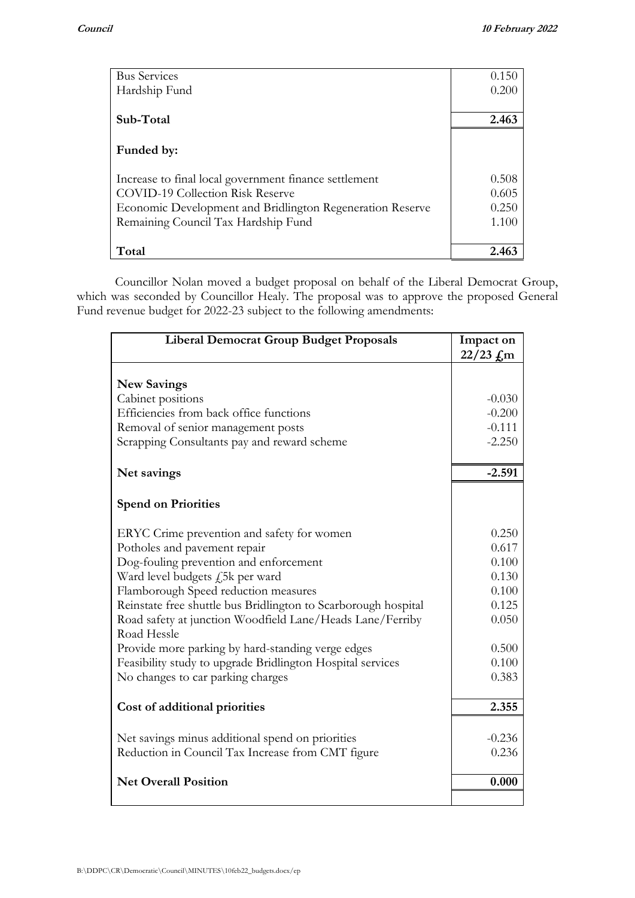| <b>Bus Services</b>                                       | 0.150 |
|-----------------------------------------------------------|-------|
| Hardship Fund                                             | 0.200 |
|                                                           |       |
| Sub-Total                                                 | 2.463 |
|                                                           |       |
| Funded by:                                                |       |
|                                                           |       |
| Increase to final local government finance settlement     | 0.508 |
| COVID-19 Collection Risk Reserve                          | 0.605 |
| Economic Development and Bridlington Regeneration Reserve | 0.250 |
| Remaining Council Tax Hardship Fund                       | 1.100 |
|                                                           |       |
| Total                                                     | 2.463 |

Councillor Nolan moved a budget proposal on behalf of the Liberal Democrat Group, which was seconded by Councillor Healy. The proposal was to approve the proposed General Fund revenue budget for 2022-23 subject to the following amendments:

| <b>Liberal Democrat Group Budget Proposals</b>                 | Impact on           |
|----------------------------------------------------------------|---------------------|
|                                                                | $22/23$ $\pounds$ m |
|                                                                |                     |
| <b>New Savings</b>                                             |                     |
| Cabinet positions                                              | $-0.030$            |
| Efficiencies from back office functions                        | $-0.200$            |
|                                                                |                     |
| Removal of senior management posts                             | $-0.111$            |
| Scrapping Consultants pay and reward scheme                    | $-2.250$            |
|                                                                |                     |
| Net savings                                                    | $-2.591$            |
|                                                                |                     |
| <b>Spend on Priorities</b>                                     |                     |
|                                                                |                     |
| ERYC Crime prevention and safety for women                     | 0.250               |
| Potholes and pavement repair                                   | 0.617               |
| Dog-fouling prevention and enforcement                         | 0.100               |
| Ward level budgets <i>f</i> ,5k per ward                       | 0.130               |
| Flamborough Speed reduction measures                           | 0.100               |
| Reinstate free shuttle bus Bridlington to Scarborough hospital | 0.125               |
| Road safety at junction Woodfield Lane/Heads Lane/Ferriby      | 0.050               |
| Road Hessle                                                    |                     |
| Provide more parking by hard-standing verge edges              | 0.500               |
| Feasibility study to upgrade Bridlington Hospital services     | 0.100               |
| No changes to car parking charges                              | 0.383               |
|                                                                |                     |
| Cost of additional priorities                                  | 2.355               |
|                                                                |                     |
| Net savings minus additional spend on priorities               | $-0.236$            |
| Reduction in Council Tax Increase from CMT figure              | 0.236               |
|                                                                |                     |
| <b>Net Overall Position</b>                                    | 0.000               |
|                                                                |                     |
|                                                                |                     |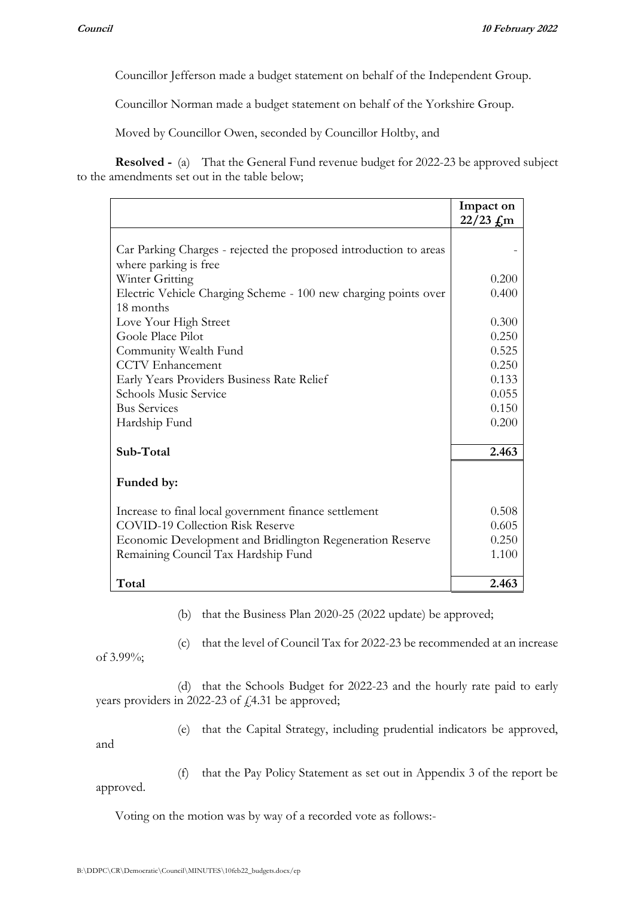Councillor Jefferson made a budget statement on behalf of the Independent Group.

Councillor Norman made a budget statement on behalf of the Yorkshire Group.

Moved by Councillor Owen, seconded by Councillor Holtby, and

**Resolved -** (a) That the General Fund revenue budget for 2022-23 be approved subject to the amendments set out in the table below;

|                                                                   | Impact on<br>$22/23$ $\rm \pounds m$ |
|-------------------------------------------------------------------|--------------------------------------|
|                                                                   |                                      |
| Car Parking Charges - rejected the proposed introduction to areas |                                      |
| where parking is free                                             |                                      |
| Winter Gritting                                                   | 0.200                                |
| Electric Vehicle Charging Scheme - 100 new charging points over   | 0.400                                |
| 18 months                                                         |                                      |
| Love Your High Street                                             | 0.300                                |
| Goole Place Pilot                                                 | 0.250                                |
| Community Wealth Fund                                             | 0.525                                |
| <b>CCTV</b> Enhancement                                           | 0.250                                |
| Early Years Providers Business Rate Relief                        | 0.133                                |
| <b>Schools Music Service</b>                                      | 0.055                                |
| <b>Bus Services</b>                                               | 0.150                                |
| Hardship Fund                                                     | 0.200                                |
|                                                                   |                                      |
| Sub-Total                                                         | 2.463                                |
|                                                                   |                                      |
| Funded by:                                                        |                                      |
|                                                                   |                                      |
| Increase to final local government finance settlement             | 0.508                                |
| <b>COVID-19 Collection Risk Reserve</b>                           | 0.605                                |
| Economic Development and Bridlington Regeneration Reserve         | 0.250                                |
| Remaining Council Tax Hardship Fund                               | 1.100                                |
|                                                                   |                                      |
| Total                                                             | 2.463                                |

(b) that the Business Plan 2020-25 (2022 update) be approved;

(c) that the level of Council Tax for 2022-23 be recommended at an increase

of 3.99%;

(d) that the Schools Budget for 2022-23 and the hourly rate paid to early years providers in 2022-23 of  $f$ , 4.31 be approved;

and

(e) that the Capital Strategy, including prudential indicators be approved,

(f) that the Pay Policy Statement as set out in Appendix 3 of the report be approved.

Voting on the motion was by way of a recorded vote as follows:-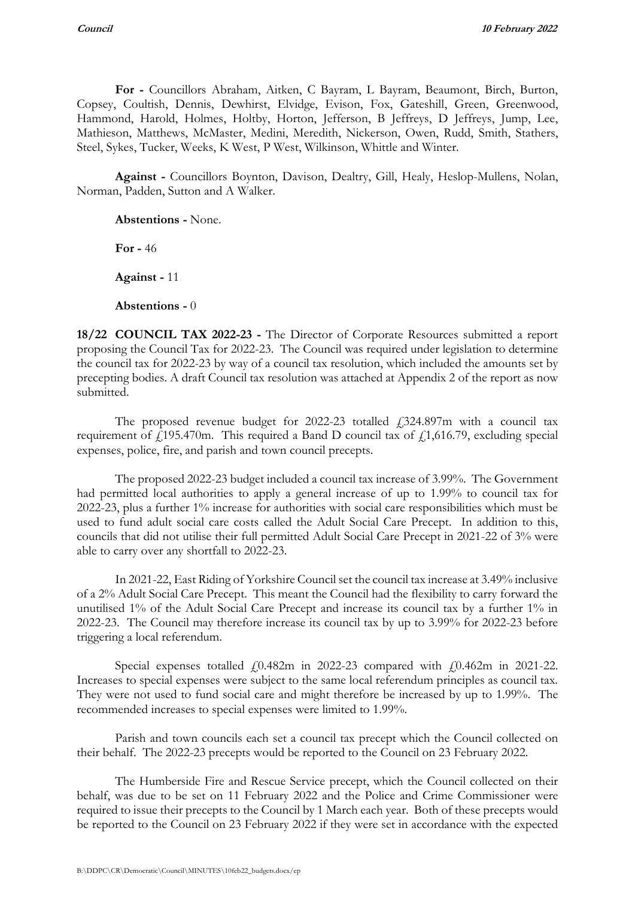**For -** Councillors Abraham, Aitken, C Bayram, L Bayram, Beaumont, Birch, Burton, Copsey, Coultish, Dennis, Dewhirst, Elvidge, Evison, Fox, Gateshill, Green, Greenwood, Hammond, Harold, Holmes, Holtby, Horton, Jefferson, B Jeffreys, D Jeffreys, Jump, Lee, Mathieson, Matthews, McMaster, Medini, Meredith, Nickerson, Owen, Rudd, Smith, Stathers, Steel, Sykes, Tucker, Weeks, K West, P West, Wilkinson, Whittle and Winter.

**Against -** Councillors Boynton, Davison, Dealtry, Gill, Healy, Heslop-Mullens, Nolan, Norman, Padden, Sutton and A Walker.

**Abstentions -** None.

**For -** 46

**Against -** 11

**Abstentions -** 0

**18/22 COUNCIL TAX 2022-23 -** The Director of Corporate Resources submitted a report proposing the Council Tax for 2022-23. The Council was required under legislation to determine the council tax for 2022-23 by way of a council tax resolution, which included the amounts set by precepting bodies. A draft Council tax resolution was attached at Appendix 2 of the report as now submitted.

The proposed revenue budget for 2022-23 totalled  $\hat{E}$  (324.897m with a council tax requirement of  $f_1$ 195.470m. This required a Band D council tax of  $f_1$ 1,616.79, excluding special expenses, police, fire, and parish and town council precepts.

The proposed 2022-23 budget included a council tax increase of 3.99%. The Government had permitted local authorities to apply a general increase of up to 1.99% to council tax for 2022-23, plus a further 1% increase for authorities with social care responsibilities which must be used to fund adult social care costs called the Adult Social Care Precept. In addition to this, councils that did not utilise their full permitted Adult Social Care Precept in 2021-22 of 3% were able to carry over any shortfall to 2022-23.

In 2021-22, East Riding of Yorkshire Council set the council tax increase at 3.49% inclusive of a 2% Adult Social Care Precept. This meant the Council had the flexibility to carry forward the unutilised 1% of the Adult Social Care Precept and increase its council tax by a further 1% in 2022-23. The Council may therefore increase its council tax by up to 3.99% for 2022-23 before triggering a local referendum.

Special expenses totalled  $f(0.482m)$  in 2022-23 compared with  $f(0.462m)$  in 2021-22. Increases to special expenses were subject to the same local referendum principles as council tax. They were not used to fund social care and might therefore be increased by up to 1.99%. The recommended increases to special expenses were limited to 1.99%.

Parish and town councils each set a council tax precept which the Council collected on their behalf. The 2022-23 precepts would be reported to the Council on 23 February 2022.

The Humberside Fire and Rescue Service precept, which the Council collected on their behalf, was due to be set on 11 February 2022 and the Police and Crime Commissioner were required to issue their precepts to the Council by 1 March each year. Both of these precepts would be reported to the Council on 23 February 2022 if they were set in accordance with the expected